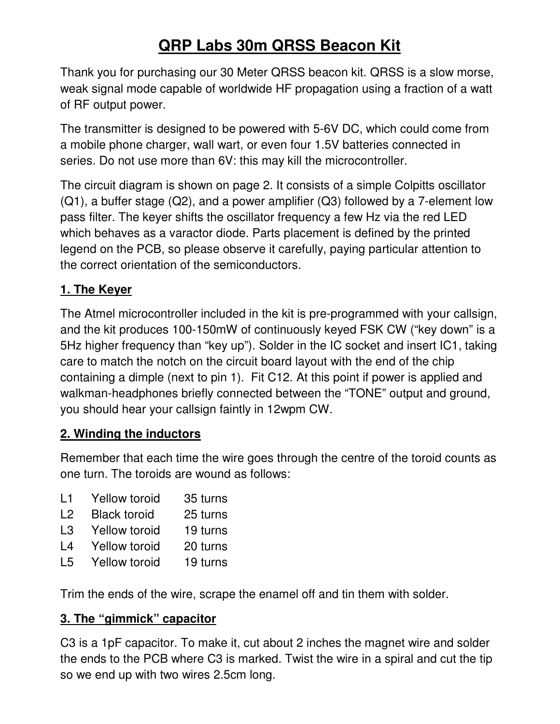# **QRP Labs 30m QRSS Beacon Kit**

Thank you for purchasing our 30 Meter QRSS beacon kit. QRSS is a slow morse, weak signal mode capable of worldwide HF propagation using a fraction of a watt of RF output power.

The transmitter is designed to be powered with 5-6V DC, which could come from a mobile phone charger, wall wart, or even four 1.5V batteries connected in series. Do not use more than 6V: this may kill the microcontroller.

The circuit diagram is shown on page 2. It consists of a simple Colpitts oscillator (Q1), a buffer stage (Q2), and a power amplifier (Q3) followed by a 7-element low pass filter. The keyer shifts the oscillator frequency a few Hz via the red LED which behaves as a varactor diode. Parts placement is defined by the printed legend on the PCB, so please observe it carefully, paying particular attention to the correct orientation of the semiconductors.

## **1. The Keyer**

The Atmel microcontroller included in the kit is pre-programmed with your callsign, and the kit produces 100-150mW of continuously keyed FSK CW ("key down" is a 5Hz higher frequency than "key up"). Solder in the IC socket and insert IC1, taking care to match the notch on the circuit board layout with the end of the chip containing a dimple (next to pin 1). Fit C12. At this point if power is applied and walkman-headphones briefly connected between the "TONE" output and ground, you should hear your callsign faintly in 12wpm CW.

#### **2. Winding the inductors**

Remember that each time the wire goes through the centre of the toroid counts as one turn. The toroids are wound as follows:

- L1 Yellow toroid 35 turns
- L2 Black toroid 25 turns
- L3 Yellow toroid 19 turns
- L4 Yellow toroid 20 turns
- L5 Yellow toroid 19 turns

Trim the ends of the wire, scrape the enamel off and tin them with solder.

## **3. The "gimmick" capacitor**

C3 is a 1pF capacitor. To make it, cut about 2 inches the magnet wire and solder the ends to the PCB where C3 is marked. Twist the wire in a spiral and cut the tip so we end up with two wires 2.5cm long.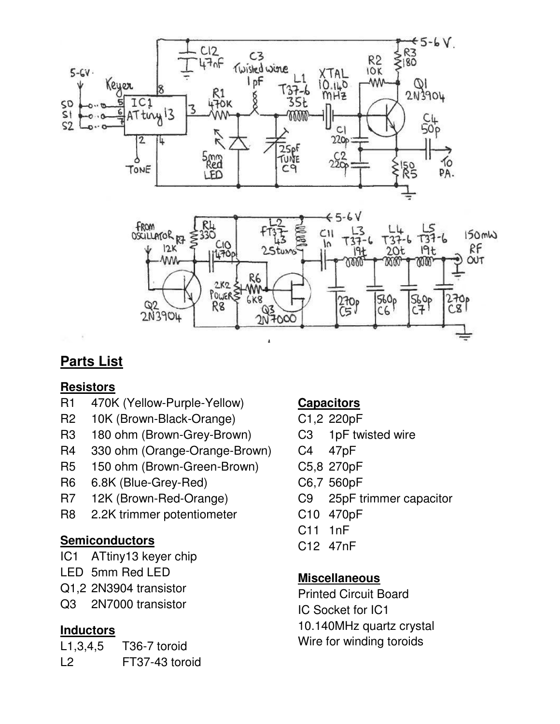

## **Parts List**

## **Resistors**

- R1 470K (Yellow-Purple-Yellow)
- R2 10K (Brown-Black-Orange)
- R3 180 ohm (Brown-Grey-Brown)
- R4 330 ohm (Orange-Orange-Brown)
- R5 150 ohm (Brown-Green-Brown)
- R6 6.8K (Blue-Grey-Red)
- R7 12K (Brown-Red-Orange)
- R8 2.2K trimmer potentiometer

## **Semiconductors**

- IC1 ATtiny13 keyer chip
- LED 5mm Red LED
- Q1,2 2N3904 transistor
- Q3 2N7000 transistor

## **Inductors**

L1,3,4,5 T36-7 toroid L2 FT37-43 toroid

## **Capacitors**

- C1,2 220pF
- C3 1pF twisted wire
- C4 47pF
- C5,8 270pF
- C6,7 560pF
- C9 25pF trimmer capacitor
- C10 470pF
- C11 1nF
- C12 47nF

## **Miscellaneous**

Printed Circuit Board IC Socket for IC1 10.140MHz quartz crystal Wire for winding toroids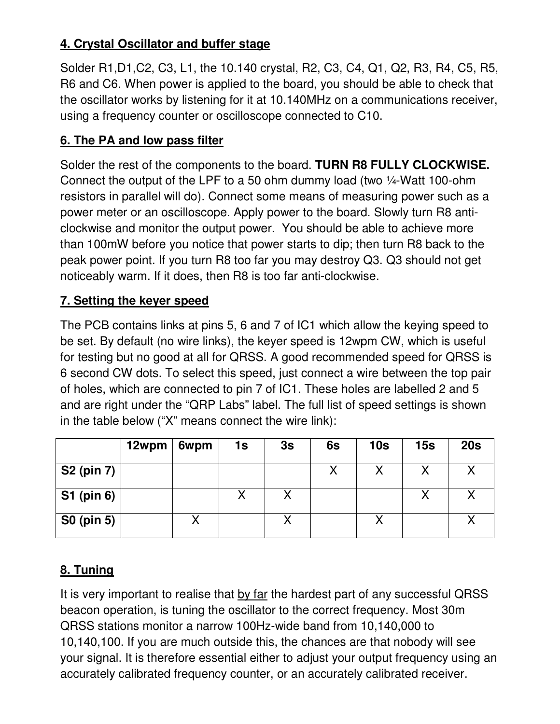## **4. Crystal Oscillator and buffer stage**

Solder R1,D1,C2, C3, L1, the 10.140 crystal, R2, C3, C4, Q1, Q2, R3, R4, C5, R5, R6 and C6. When power is applied to the board, you should be able to check that the oscillator works by listening for it at 10.140MHz on a communications receiver, using a frequency counter or oscilloscope connected to C10.

#### **6. The PA and low pass filter**

Solder the rest of the components to the board. **TURN R8 FULLY CLOCKWISE.**  Connect the output of the LPF to a 50 ohm dummy load (two ¼-Watt 100-ohm resistors in parallel will do). Connect some means of measuring power such as a power meter or an oscilloscope. Apply power to the board. Slowly turn R8 anticlockwise and monitor the output power. You should be able to achieve more than 100mW before you notice that power starts to dip; then turn R8 back to the peak power point. If you turn R8 too far you may destroy Q3. Q3 should not get noticeably warm. If it does, then R8 is too far anti-clockwise.

#### **7. Setting the keyer speed**

The PCB contains links at pins 5, 6 and 7 of IC1 which allow the keying speed to be set. By default (no wire links), the keyer speed is 12wpm CW, which is useful for testing but no good at all for QRSS. A good recommended speed for QRSS is 6 second CW dots. To select this speed, just connect a wire between the top pair of holes, which are connected to pin 7 of IC1. These holes are labelled 2 and 5 and are right under the "QRP Labs" label. The full list of speed settings is shown in the table below ("X" means connect the wire link):

|                   | 12wpm | 6wpm | 1s | 3s | 6s | 10 <sub>s</sub> | 15s | 20s |
|-------------------|-------|------|----|----|----|-----------------|-----|-----|
| <b>S2 (pin 7)</b> |       |      |    |    |    |                 |     |     |
| <b>S1 (pin 6)</b> |       |      |    |    |    |                 |     |     |
| <b>S0 (pin 5)</b> |       |      |    |    |    |                 |     |     |

## **8. Tuning**

It is very important to realise that by far the hardest part of any successful QRSS beacon operation, is tuning the oscillator to the correct frequency. Most 30m QRSS stations monitor a narrow 100Hz-wide band from 10,140,000 to 10,140,100. If you are much outside this, the chances are that nobody will see your signal. It is therefore essential either to adjust your output frequency using an accurately calibrated frequency counter, or an accurately calibrated receiver.